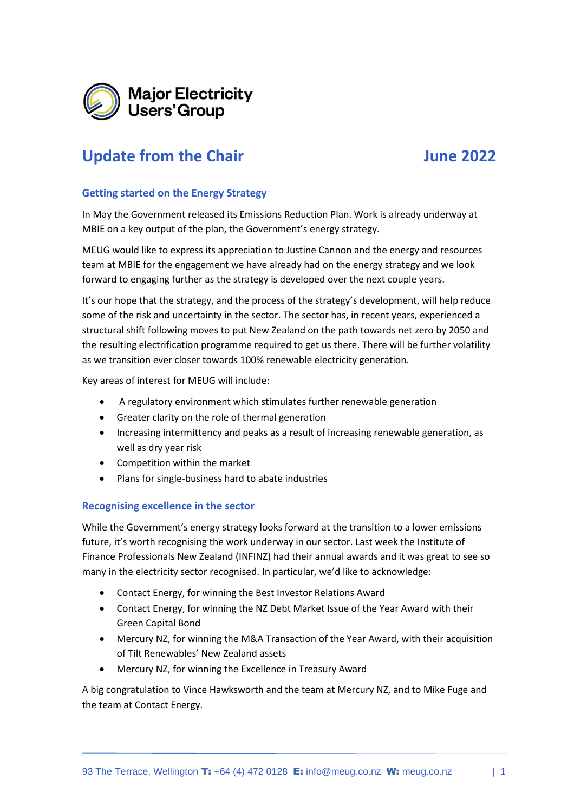

## **Update from the Chair June 2022**

## **Getting started on the Energy Strategy**

In May the Government released its Emissions Reduction Plan. Work is already underway at MBIE on a key output of the plan, the Government's energy strategy.

MEUG would like to express its appreciation to Justine Cannon and the energy and resources team at MBIE for the engagement we have already had on the energy strategy and we look forward to engaging further as the strategy is developed over the next couple years.

It's our hope that the strategy, and the process of the strategy's development, will help reduce some of the risk and uncertainty in the sector. The sector has, in recent years, experienced a structural shift following moves to put New Zealand on the path towards net zero by 2050 and the resulting electrification programme required to get us there. There will be further volatility as we transition ever closer towards 100% renewable electricity generation.

Key areas of interest for MEUG will include:

- A regulatory environment which stimulates further renewable generation
- Greater clarity on the role of thermal generation
- Increasing intermittency and peaks as a result of increasing renewable generation, as well as dry year risk
- Competition within the market
- Plans for single-business hard to abate industries

## **Recognising excellence in the sector**

While the Government's energy strategy looks forward at the transition to a lower emissions future, it's worth recognising the work underway in our sector. Last week the Institute of Finance Professionals New Zealand (INFINZ) had their annual awards and it was great to see so many in the electricity sector recognised. In particular, we'd like to acknowledge:

- Contact Energy, for winning the Best Investor Relations Award
- Contact Energy, for winning the NZ Debt Market Issue of the Year Award with their Green Capital Bond
- Mercury NZ, for winning the M&A Transaction of the Year Award, with their acquisition of Tilt Renewables' New Zealand assets
- Mercury NZ, for winning the Excellence in Treasury Award

A big congratulation to Vince Hawksworth and the team at Mercury NZ, and to Mike Fuge and the team at Contact Energy.